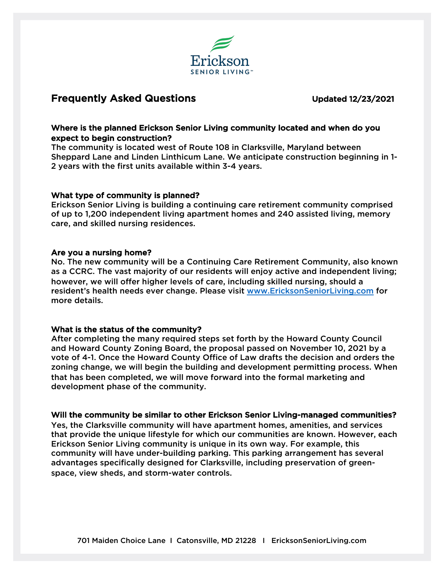

# Frequently Asked Questions **Example 2018** Updated 12/23/2021

## Where is the planned Erickson Senior Living community located and when do you expect to begin construction?

The community is located west of Route 108 in Clarksville, Maryland between Sheppard Lane and Linden Linthicum Lane. We anticipate construction beginning in 1- 2 years with the first units available within 3-4 years.

### What type of community is planned?

Erickson Senior Living is building a continuing care retirement community comprised of up to 1,200 independent living apartment homes and 240 assisted living, memory care, and skilled nursing residences.

### Are you a nursing home?

No. The new community will be a Continuing Care Retirement Community, also known as a CCRC. The vast majority of our residents will enjoy active and independent living; however, we will offer higher levels of care, including skilled nursing, should a resident's health needs ever change. Please visit [www.EricksonSeniorLiving.com](applewebdata://50EE19F4-402A-4356-9626-A914A5E80E16/www.EricksonSeniorLiving.com) for more details.

# What is the status of the community?

After completing the many required steps set forth by the Howard County Council and Howard County Zoning Board, the proposal passed on November 10, 2021 by a vote of 4-1. Once the Howard County Office of Law drafts the decision and orders the zoning change, we will begin the building and development permitting process. When that has been completed, we will move forward into the formal marketing and development phase of the community.

# Will the community be similar to other Erickson Senior Living-managed communities?

Yes, the Clarksville community will have apartment homes, amenities, and services that provide the unique lifestyle for which our communities are known. However, each Erickson Senior Living community is unique in its own way. For example, this community will have under-building parking. This parking arrangement has several advantages specifically designed for Clarksville, including preservation of greenspace, view sheds, and storm-water controls.